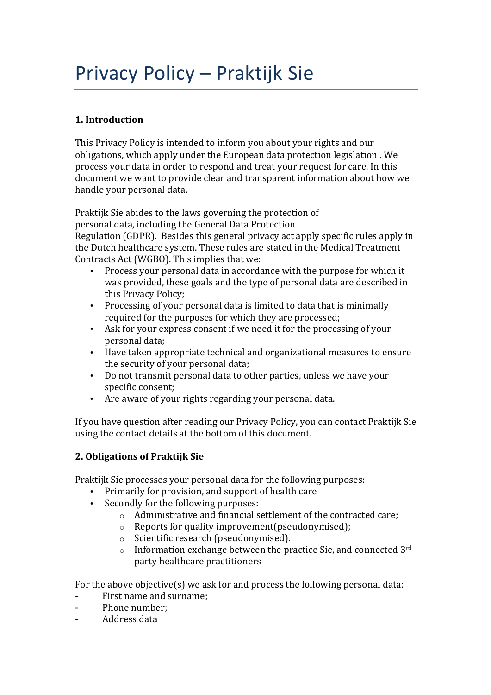# Privacy Policy – Praktijk Sie

# **1. Introduction**

This Privacy Policy is intended to inform you about your rights and our obligations, which apply under the European data protection legislation. We process your data in order to respond and treat your request for care. In this document we want to provide clear and transparent information about how we handle your personal data.

Praktijk Sie abides to the laws governing the protection of personal data, including the General Data Protection Regulation (GDPR). Besides this general privacy act apply specific rules apply in the Dutch healthcare system. These rules are stated in the Medical Treatment Contracts Act (WGBO). This implies that we:

- Process your personal data in accordance with the purpose for which it was provided, these goals and the type of personal data are described in this Privacy Policy;
- Processing of your personal data is limited to data that is minimally required for the purposes for which they are processed;
- Ask for your express consent if we need it for the processing of your personal data:
- Have taken appropriate technical and organizational measures to ensure the security of your personal data;
- Do not transmit personal data to other parties, unless we have your specific consent;
- Are aware of your rights regarding your personal data.

If you have question after reading our Privacy Policy, you can contact Praktijk Sie using the contact details at the bottom of this document.

#### **2. Obligations of Praktijk Sie**

Praktijk Sie processes your personal data for the following purposes:

- Primarily for provision, and support of health care
- Secondly for the following purposes:
	- $\circ$  Administrative and financial settlement of the contracted care;
	- $\circ$  Reports for quality improvement (pseudonymised);
	- $\circ$  Scientific research (pseudonymised).
	- $\circ$  Information exchange between the practice Sie, and connected 3rd party healthcare practitioners

For the above objective(s) we ask for and process the following personal data:

- First name and surname;
- Phone number:
- Address data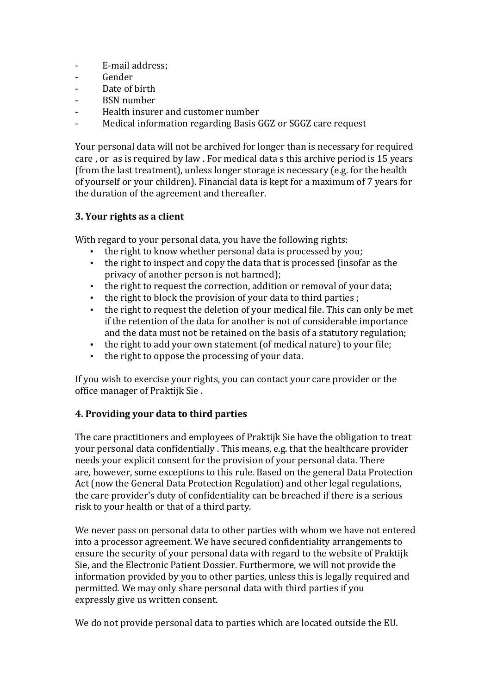- E-mail address;
- Gender
- Date of birth
- BSN number
- Health insurer and customer number
- Medical information regarding Basis GGZ or SGGZ care request

Your personal data will not be archived for longer than is necessary for required care, or as is required by law. For medical data s this archive period is 15 years (from the last treatment), unless longer storage is necessary (e.g. for the health of yourself or your children). Financial data is kept for a maximum of 7 years for the duration of the agreement and thereafter.

# **3. Your rights as a client**

With regard to your personal data, you have the following rights:

- the right to know whether personal data is processed by you;
- the right to inspect and copy the data that is processed (insofar as the privacy of another person is not harmed);
- the right to request the correction, addition or removal of your data;
- $\cdot$  the right to block the provision of your data to third parties;
- the right to request the deletion of your medical file. This can only be met if the retention of the data for another is not of considerable importance and the data must not be retained on the basis of a statutory regulation;
- the right to add your own statement (of medical nature) to your file;
- the right to oppose the processing of your data.

If you wish to exercise your rights, you can contact your care provider or the office manager of Praktijk Sie.

# **4. Providing your data to third parties**

The care practitioners and employees of Praktijk Sie have the obligation to treat your personal data confidentially. This means, e.g. that the healthcare provider needs your explicit consent for the provision of your personal data. There are, however, some exceptions to this rule. Based on the general Data Protection Act (now the General Data Protection Regulation) and other legal regulations, the care provider's duty of confidentiality can be breached if there is a serious risk to your health or that of a third party.

We never pass on personal data to other parties with whom we have not entered into a processor agreement. We have secured confidentiality arrangements to ensure the security of your personal data with regard to the website of Praktijk Sie, and the Electronic Patient Dossier. Furthermore, we will not provide the information provided by you to other parties, unless this is legally required and permitted. We may only share personal data with third parties if you expressly give us written consent.

We do not provide personal data to parties which are located outside the EU.